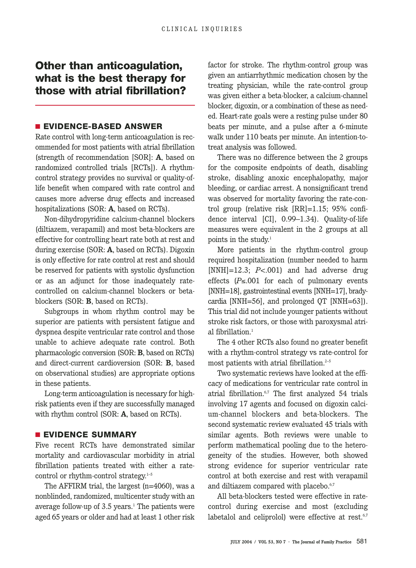# **Other than anticoagulation, what is the best therapy for those with atrial fibrillation?**

### ■ **EVIDENCE-BASED ANSWER**

Rate control with long-term anticoagulation is recommended for most patients with atrial fibrillation (strength of recommendation [SOR]: **A**, based on randomized controlled trials [RCTs]). A rhythmcontrol strategy provides no survival or quality-oflife benefit when compared with rate control and causes more adverse drug effects and increased hospitalizations (SOR: **A**, based on RCTs).

Non-dihydropyridine calcium-channel blockers (diltiazem, verapamil) and most beta-blockers are effective for controlling heart rate both at rest and during exercise (SOR: **A**, based on RCTs). Digoxin is only effective for rate control at rest and should be reserved for patients with systolic dysfunction or as an adjunct for those inadequately ratecontrolled on calcium-channel blockers or betablockers (SOR: **B**, based on RCTs).

Subgroups in whom rhythm control may be superior are patients with persistent fatigue and dyspnea despite ventricular rate control and those unable to achieve adequate rate control. Both pharmacologic conversion (SOR: **B**, based on RCTs) and direct-current cardioversion (SOR: **B**, based on observational studies) are appropriate options in these patients.

Long-term anticoagulation is necessary for highrisk patients even if they are successfully managed with rhythm control (SOR: **A**, based on RCTs).

### ■ **EVIDENCE SUMMARY**

Five recent RCTs have demonstrated similar mortality and cardiovascular morbidity in atrial fibrillation patients treated with either a ratecontrol or rhythm-control strategy.<sup>1-5</sup>

The AFFIRM trial, the largest (n=4060), was a nonblinded, randomized, multicenter study with an average follow-up of  $3.5$  years.<sup>1</sup> The patients were aged 65 years or older and had at least 1 other risk

factor for stroke. The rhythm-control group was given an antiarrhythmic medication chosen by the treating physician, while the rate-control group was given either a beta-blocker, a calcium-channel blocker, digoxin, or a combination of these as needed. Heart-rate goals were a resting pulse under 80 beats per minute, and a pulse after a 6-minute walk under 110 beats per minute. An intention-totreat analysis was followed.

There was no difference between the 2 groups for the composite endpoints of death, disabling stroke, disabling anoxic encephalopathy, major bleeding, or cardiac arrest. A nonsignificant trend was observed for mortality favoring the rate-control group (relative risk [RR]=1.15; 95% confidence interval [CI], 0.99–1.34). Quality-of-life measures were equivalent in the 2 groups at all points in the study.<sup>1</sup>

More patients in the rhythm-control group required hospitalization (number needed to harm [NNH]=12.3; *P*<.001) and had adverse drug effects (*P*≤.001 for each of pulmonary events [NNH=18], gastrointestinal events [NNH=17], bradycardia [NNH=56], and prolonged QT [NNH=63]). This trial did not include younger patients without stroke risk factors, or those with paroxysmal atrial fibrillation.<sup>1</sup>

The 4 other RCTs also found no greater benefit with a rhythm-control strategy vs rate-control for most patients with atrial fibrillation.<sup>2-5</sup>

Two systematic reviews have looked at the efficacy of medications for ventricular rate control in atrial fibrillation.6,7 The first analyzed 54 trials involving 17 agents and focused on digoxin calcium-channel blockers and beta-blockers. The second systematic review evaluated 45 trials with similar agents. Both reviews were unable to perform mathematical pooling due to the heterogeneity of the studies. However, both showed strong evidence for superior ventricular rate control at both exercise and rest with verapamil and diltiazem compared with placebo.<sup>6,7</sup>

All beta-blockers tested were effective in ratecontrol during exercise and most (excluding labetalol and celiprolol) were effective at rest.<sup>6,7</sup>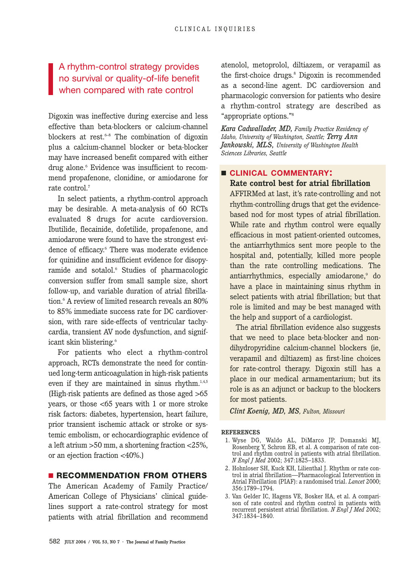# A rhythm-control strategy provides no survival or quality-of-life benefit when compared with rate control

Digoxin was ineffective during exercise and less effective than beta-blockers or calcium-channel blockers at rest.<sup>6-8</sup> The combination of digoxin plus a calcium-channel blocker or beta-blocker may have increased benefit compared with either drug alone.<sup>6</sup> Evidence was insufficient to recommend propafenone, clonidine, or amiodarone for rate control.<sup>7</sup>

In select patients, a rhythm-control approach may be desirable. A meta-analysis of 60 RCTs evaluated 8 drugs for acute cardioversion. Ibutilide, flecainide, dofetilide, propafenone, and amiodarone were found to have the strongest evidence of efficacy.<sup>6</sup> There was moderate evidence for quinidine and insufficient evidence for disopyramide and sotalol.<sup>6</sup> Studies of pharmacologic conversion suffer from small sample size, short follow-up, and variable duration of atrial fibrillation.6 A review of limited research reveals an 80% to 85% immediate success rate for DC cardioversion, with rare side-effects of ventricular tachycardia, transient AV node dysfunction, and significant skin blistering.<sup>6</sup>

For patients who elect a rhythm-control approach, RCTs demonstrate the need for continued long-term anticoagulation in high-risk patients even if they are maintained in sinus rhythm.<sup>1,4,5</sup> (High-risk patients are defined as those aged >65 years, or those <65 years with 1 or more stroke risk factors: diabetes, hypertension, heart failure, prior transient ischemic attack or stroke or systemic embolism, or echocardiographic evidence of a left atrium >50 mm, a shortening fraction <25%, or an ejection fraction <40%.)

## ■ **RECOMMENDATION FROM OTHERS**

The American Academy of Family Practice/ American College of Physicians' clinical guidelines support a rate-control strategy for most patients with atrial fibrillation and recommend atenolol, metoprolol, diltiazem, or verapamil as the first-choice drugs.<sup>8</sup> Digoxin is recommended as a second-line agent. DC cardioversion and pharmacologic conversion for patients who desire a rhythm-control strategy are described as "appropriate options."8

*Kara Cadwallader, MD, Family Practice Residency of Idaho, University of Washington, Seattle; Terry Ann Jankowski, MLS, University of Washington Health Sciences Libraries, Seattle*

# ■ **CLINICAL COMMENTARY: Rate control best for atrial fibrillation**

AFFIRMed at last, it's rate-controlling and not rhythm-controlling drugs that get the evidencebased nod for most types of atrial fibrillation. While rate and rhythm control were equally efficacious in most patient-oriented outcomes, the antiarrhythmics sent more people to the hospital and, potentially, killed more people than the rate controlling medications. The antiarrhythmics, especially amiodarone,<sup>9</sup> do have a place in maintaining sinus rhythm in select patients with atrial fibrillation; but that role is limited and may be best managed with the help and support of a cardiologist.

The atrial fibrillation evidence also suggests that we need to place beta-blocker and nondihydropyridine calcium-channel blockers (ie, verapamil and diltiazem) as first-line choices for rate-control therapy. Digoxin still has a place in our medical armamentarium; but its role is as an adjunct or backup to the blockers for most patients.

*Clint Koenig, MD, MS, Fulton, Missouri*

#### **REFERENCES**

- 1. Wyse DG, Waldo AL, DiMarco JP, Domanski MJ, Rosenberg Y, Schron EB, et al. A comparison of rate control and rhythm control in patients with atrial fibrillation. *N Engl J Med* 2002; 347:1825–1833.
- 2. Hohnloser SH, Kuck KH, Lilienthal J. Rhythm or rate control in atrial fibrillation—Pharmacological Intervention in Atrial Fibrillation (PIAF): a randomised trial. *Lancet* 2000; 356:1789–1794.
- 3. Van Gelder IC, Hagens VE, Bosker HA, et al. A comparison of rate control and rhythm control in patients with recurrent persistent atrial fibrillation. *N Engl J Med* 2002; 347:1834–1840.